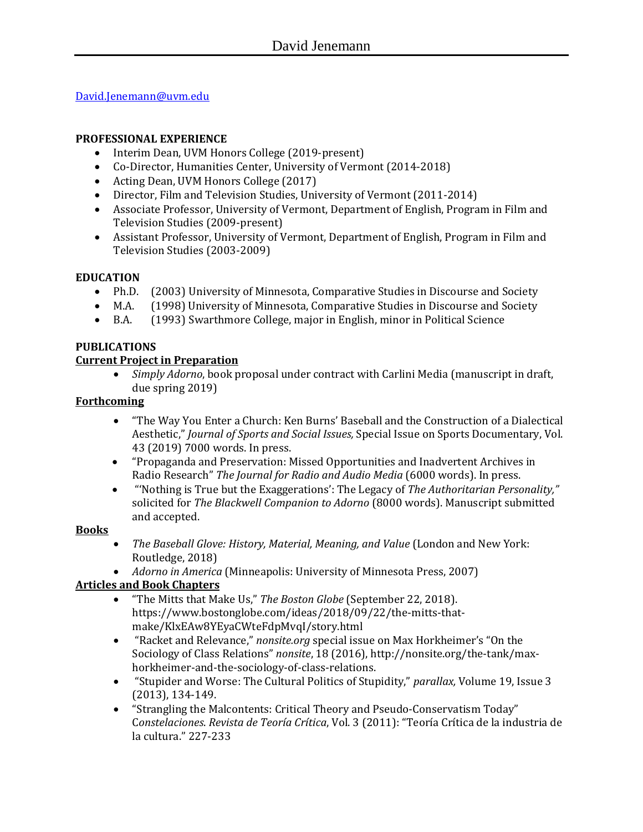[David.Jenemann@uvm.edu](mailto:David.Jenemann@uvm.edu)

## **PROFESSIONAL EXPERIENCE**

- Interim Dean, UVM Honors College (2019-present)
- Co-Director, Humanities Center, University of Vermont (2014-2018)
- Acting Dean, UVM Honors College (2017)
- Director, Film and Television Studies, University of Vermont (2011-2014)
- Associate Professor, University of Vermont, Department of English, Program in Film and Television Studies (2009-present)
- Assistant Professor, University of Vermont, Department of English, Program in Film and Television Studies (2003-2009)

## **EDUCATION**

- Ph.D. (2003) University of Minnesota, Comparative Studies in Discourse and Society
- M.A. (1998) University of Minnesota, Comparative Studies in Discourse and Society
- B.A. (1993) Swarthmore College, major in English, minor in Political Science

# **PUBLICATIONS**

## **Current Project in Preparation**

 *Simply Adorno*, book proposal under contract with Carlini Media (manuscript in draft, due spring 2019)

## **Forthcoming**

- "The Way You Enter a Church: Ken Burns' Baseball and the Construction of a Dialectical Aesthetic," *Journal of Sports and Social Issues,* Special Issue on Sports Documentary, Vol. 43 (2019) 7000 words. In press.
- "Propaganda and Preservation: Missed Opportunities and Inadvertent Archives in Radio Research" *The Journal for Radio and Audio Media* (6000 words). In press.
- "'Nothing is True but the Exaggerations': The Legacy of *The Authoritarian Personality,"*  solicited for *The Blackwell Companion to Adorno* (8000 words). Manuscript submitted and accepted.

### **Books**

- *The Baseball Glove: History, Material, Meaning, and Value* (London and New York: Routledge, 2018)
- *Adorno in America* (Minneapolis: University of Minnesota Press, 2007)

# **Articles and Book Chapters**

- "The Mitts that Make Us," *The Boston Globe* (September 22, 2018). https://www.bostonglobe.com/ideas/2018/09/22/the-mitts-thatmake/KlxEAw8YEyaCWteFdpMvqI/story.html
- "Racket and Relevance," *nonsite.org* special issue on Max Horkheimer's "On the Sociology of Class Relations" *nonsite*, 18 (2016), http://nonsite.org/the-tank/maxhorkheimer-and-the-sociology-of-class-relations.
- "Stupider and Worse: The Cultural Politics of Stupidity," *parallax,* Volume 19, Issue 3 (2013), 134-149.
- "Strangling the Malcontents: Critical Theory and Pseudo-Conservatism Today" C*onstelaciones*. *Revista de Teoría Crítica*, Vol. 3 (2011): "Teoría Crítica de la industria de la cultura." 227-233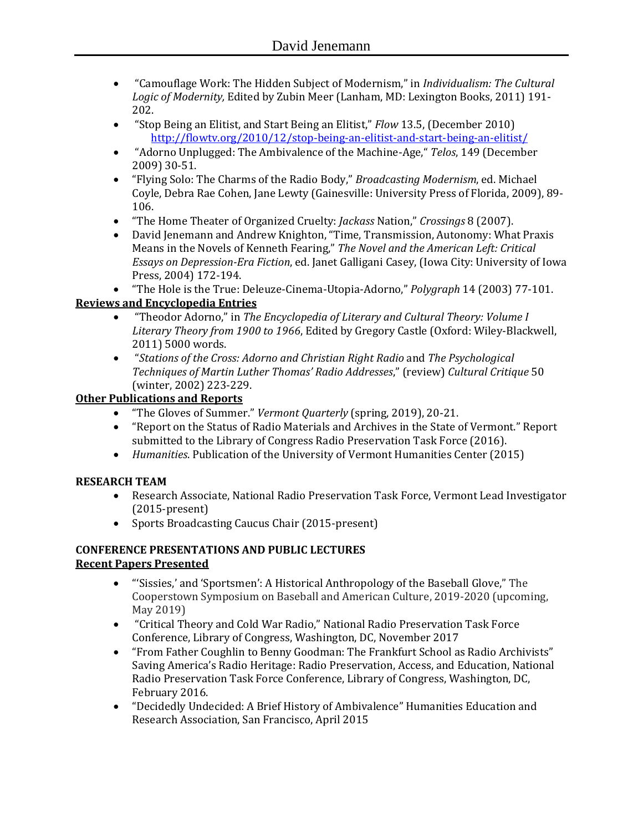- "Camouflage Work: The Hidden Subject of Modernism," in *Individualism: The Cultural Logic of Modernity,* Edited by Zubin Meer (Lanham, MD: Lexington Books, 2011) 191- 202.
- "Stop Being an Elitist, and Start Being an Elitist," *Flow* 13.5, (December 2010) <http://flowtv.org/2010/12/stop-being-an-elitist-and-start-being-an-elitist/>
- "Adorno Unplugged: The Ambivalence of the Machine-Age," *Telos*, 149 (December 2009) 30-51.
- "Flying Solo: The Charms of the Radio Body," *Broadcasting Modernism*, ed. Michael Coyle, Debra Rae Cohen, Jane Lewty (Gainesville: University Press of Florida, 2009), 89- 106.
- "The Home Theater of Organized Cruelty: *Jackass* Nation," *Crossings* 8 (2007).
- David Jenemann and Andrew Knighton, "Time, Transmission, Autonomy: What Praxis Means in the Novels of Kenneth Fearing," *The Novel and the American Left: Critical Essays on Depression-Era Fiction*, ed. Janet Galligani Casey, (Iowa City: University of Iowa Press, 2004) 172-194.
- "The Hole is the True: Deleuze-Cinema-Utopia-Adorno," *Polygraph* 14 (2003) 77-101.

# **Reviews and Encyclopedia Entries**

- "Theodor Adorno," in *The Encyclopedia of Literary and Cultural Theory: Volume I Literary Theory from 1900 to 1966*, Edited by Gregory Castle (Oxford: Wiley-Blackwell, 2011) 5000 words.
- "*Stations of the Cross: Adorno and Christian Right Radio* and *The Psychological Techniques of Martin Luther Thomas' Radio Addresses*," (review) *Cultural Critique* 50 (winter, 2002) 223-229.

# **Other Publications and Reports**

- "The Gloves of Summer." *Vermont Quarterly* (spring, 2019), 20-21.
- "Report on the Status of Radio Materials and Archives in the State of Vermont." Report submitted to the Library of Congress Radio Preservation Task Force (2016).
- *Humanities*. Publication of the University of Vermont Humanities Center (2015)

# **RESEARCH TEAM**

- Research Associate, National Radio Preservation Task Force, Vermont Lead Investigator (2015-present)
- Sports Broadcasting Caucus Chair (2015-present)

### **CONFERENCE PRESENTATIONS AND PUBLIC LECTURES Recent Papers Presented**

- "'Sissies,' and 'Sportsmen': A Historical Anthropology of the Baseball Glove," The Cooperstown Symposium on Baseball and American Culture, 2019-2020 (upcoming, May 2019)
- "Critical Theory and Cold War Radio," National Radio Preservation Task Force Conference, Library of Congress, Washington, DC, November 2017
- "From Father Coughlin to Benny Goodman: The Frankfurt School as Radio Archivists" Saving America's Radio Heritage: Radio Preservation, Access, and Education, National Radio Preservation Task Force Conference, Library of Congress, Washington, DC, February 2016.
- "Decidedly Undecided: A Brief History of Ambivalence" Humanities Education and Research Association, San Francisco, April 2015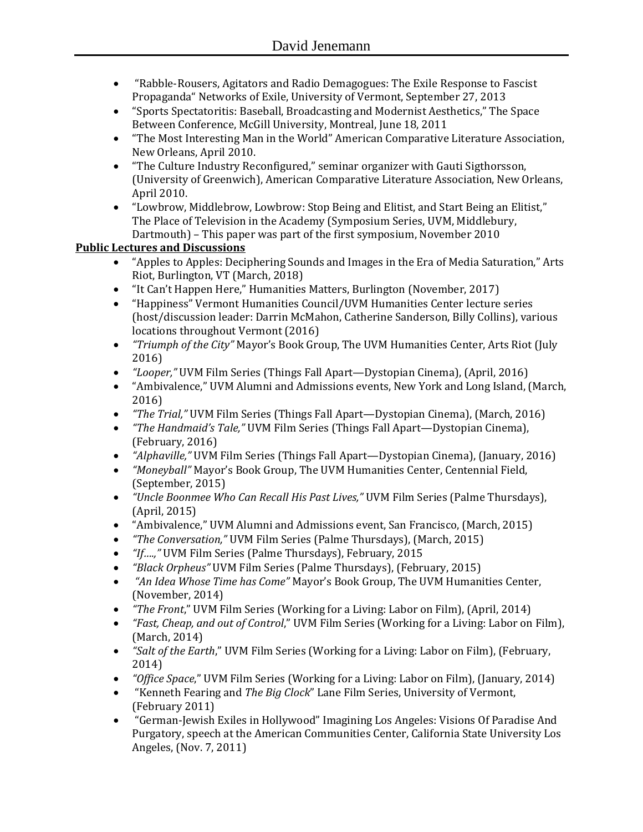- "Rabble-Rousers, Agitators and Radio Demagogues: The Exile Response to Fascist Propaganda" Networks of Exile, University of Vermont, September 27, 2013
- "Sports Spectatoritis: Baseball, Broadcasting and Modernist Aesthetics," The Space Between Conference, McGill University, Montreal, June 18, 2011
- "The Most Interesting Man in the World" American Comparative Literature Association, New Orleans, April 2010.
- "The Culture Industry Reconfigured," seminar organizer with Gauti Sigthorsson, (University of Greenwich), American Comparative Literature Association, New Orleans, April 2010.
- "Lowbrow, Middlebrow, Lowbrow: Stop Being and Elitist, and Start Being an Elitist," The Place of Television in the Academy (Symposium Series, UVM, Middlebury, Dartmouth) – This paper was part of the first symposium, November 2010

# **Public Lectures and Discussions**

- "Apples to Apples: Deciphering Sounds and Images in the Era of Media Saturation," Arts Riot, Burlington, VT (March, 2018)
- "It Can't Happen Here," Humanities Matters, Burlington (November, 2017)
- "Happiness" Vermont Humanities Council/UVM Humanities Center lecture series (host/discussion leader: Darrin McMahon, Catherine Sanderson, Billy Collins), various locations throughout Vermont (2016)
- *"Triumph of the City"* Mayor's Book Group, The UVM Humanities Center, Arts Riot (July 2016)
- *"Looper,"* UVM Film Series (Things Fall Apart—Dystopian Cinema), (April, 2016)
- "Ambivalence," UVM Alumni and Admissions events, New York and Long Island, (March, 2016)
- *"The Trial,"* UVM Film Series (Things Fall Apart—Dystopian Cinema), (March, 2016)
- *"The Handmaid's Tale,"* UVM Film Series (Things Fall Apart—Dystopian Cinema), (February, 2016)
- *"Alphaville,"* UVM Film Series (Things Fall Apart—Dystopian Cinema), (January, 2016)
- *"Moneyball"* Mayor's Book Group, The UVM Humanities Center, Centennial Field, (September, 2015)
- *"Uncle Boonmee Who Can Recall His Past Lives,"* UVM Film Series (Palme Thursdays), (April, 2015)
- "Ambivalence," UVM Alumni and Admissions event, San Francisco, (March, 2015)
- *"The Conversation,"* UVM Film Series (Palme Thursdays), (March, 2015)
- *"If….,"* UVM Film Series (Palme Thursdays), February, 2015
- *"Black Orpheus"* UVM Film Series (Palme Thursdays), (February, 2015)
- *"An Idea Whose Time has Come"* Mayor's Book Group, The UVM Humanities Center, (November, 2014)
- *"The Front*," UVM Film Series (Working for a Living: Labor on Film), (April, 2014)
- *"Fast, Cheap, and out of Control*," UVM Film Series (Working for a Living: Labor on Film), (March, 2014)
- *"Salt of the Earth*," UVM Film Series (Working for a Living: Labor on Film), (February, 2014)
- *"Office Space*," UVM Film Series (Working for a Living: Labor on Film), (January, 2014)
- "Kenneth Fearing and *The Big Clock*" Lane Film Series, University of Vermont, (February 2011)
- "German-Jewish Exiles in Hollywood" Imagining Los Angeles: Visions Of Paradise And Purgatory, speech at the American Communities Center, California State University Los Angeles, (Nov. 7, 2011)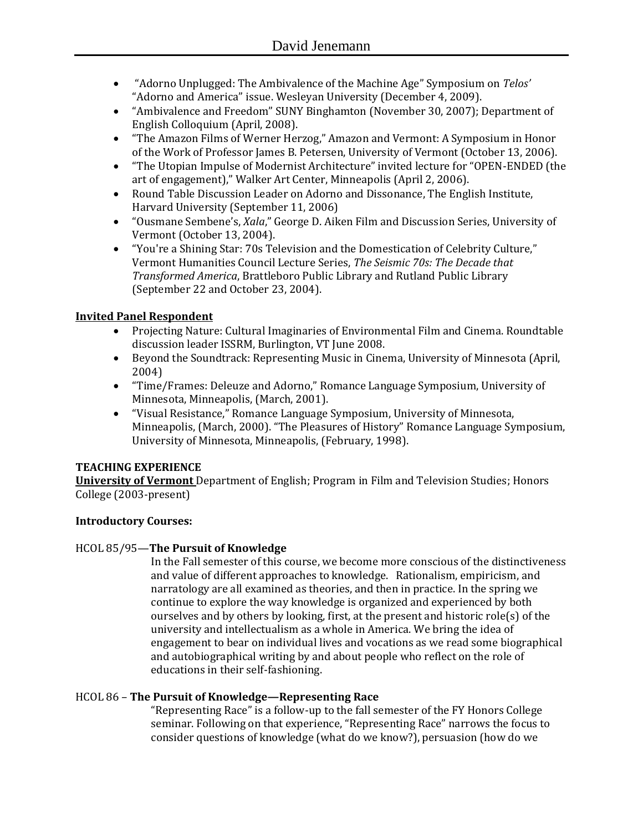- "Adorno Unplugged: The Ambivalence of the Machine Age" Symposium on *Telos'* "Adorno and America" issue. Wesleyan University (December 4, 2009).
- "Ambivalence and Freedom" SUNY Binghamton (November 30, 2007); Department of English Colloquium (April, 2008).
- "The Amazon Films of Werner Herzog," Amazon and Vermont: A Symposium in Honor of the Work of Professor James B. Petersen, University of Vermont (October 13, 2006).
- "The Utopian Impulse of Modernist Architecture" invited lecture for "OPEN-ENDED (the art of engagement)," Walker Art Center, Minneapolis (April 2, 2006).
- Round Table Discussion Leader on Adorno and Dissonance, The English Institute, Harvard University (September 11, 2006)
- "Ousmane Sembene's, *Xala*," George D. Aiken Film and Discussion Series, University of Vermont (October 13, 2004).
- "You're a Shining Star: 70s Television and the Domestication of Celebrity Culture," Vermont Humanities Council Lecture Series, *The Seismic 70s: The Decade that Transformed America*, Brattleboro Public Library and Rutland Public Library (September 22 and October 23, 2004).

# **Invited Panel Respondent**

- Projecting Nature: Cultural Imaginaries of Environmental Film and Cinema. Roundtable discussion leader ISSRM, Burlington, VT June 2008.
- Beyond the Soundtrack: Representing Music in Cinema, University of Minnesota (April, 2004)
- "Time/Frames: Deleuze and Adorno," Romance Language Symposium, University of Minnesota, Minneapolis, (March, 2001).
- "Visual Resistance," Romance Language Symposium, University of Minnesota, Minneapolis, (March, 2000). "The Pleasures of History" Romance Language Symposium, University of Minnesota, Minneapolis, (February, 1998).

# **TEACHING EXPERIENCE**

**University of Vermont** Department of English; Program in Film and Television Studies; Honors College (2003-present)

# **Introductory Courses:**

# HCOL 85/95—**The Pursuit of Knowledge**

In the Fall semester of this course, we become more conscious of the distinctiveness and value of different approaches to knowledge. Rationalism, empiricism, and narratology are all examined as theories, and then in practice. In the spring we continue to explore the way knowledge is organized and experienced by both ourselves and by others by looking, first, at the present and historic role(s) of the university and intellectualism as a whole in America. We bring the idea of engagement to bear on individual lives and vocations as we read some biographical and autobiographical writing by and about people who reflect on the role of educations in their self-fashioning.

# HCOL 86 – **The Pursuit of Knowledge—Representing Race**

"Representing Race" is a follow-up to the fall semester of the FY Honors College seminar. Following on that experience, "Representing Race" narrows the focus to consider questions of knowledge (what do we know?), persuasion (how do we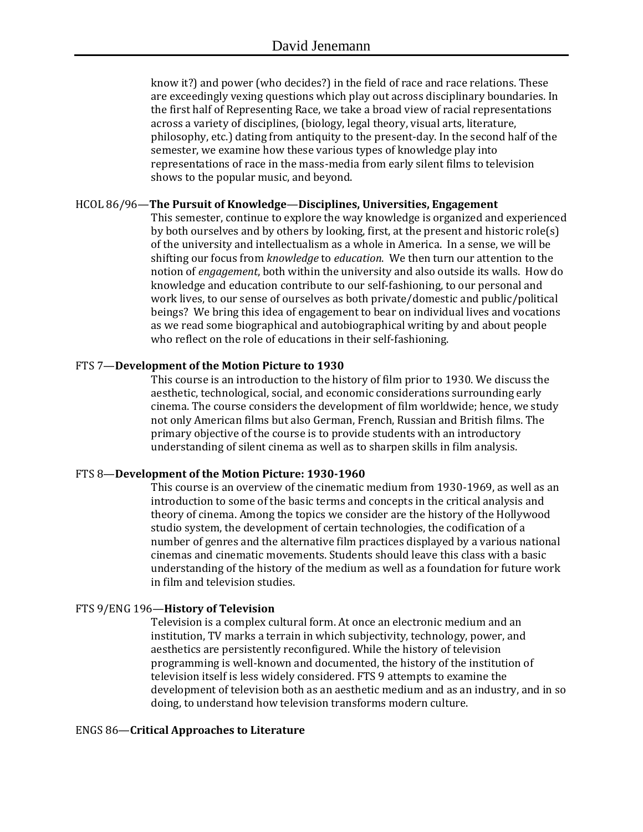know it?) and power (who decides?) in the field of race and race relations. These are exceedingly vexing questions which play out across disciplinary boundaries. In the first half of Representing Race, we take a broad view of racial representations across a variety of disciplines, (biology, legal theory, visual arts, literature, philosophy, etc.) dating from antiquity to the present-day. In the second half of the semester, we examine how these various types of knowledge play into representations of race in the mass-media from early silent films to television shows to the popular music, and beyond.

### HCOL 86/96—**The Pursuit of Knowledge**—**Disciplines, Universities, Engagement**

This semester, continue to explore the way knowledge is organized and experienced by both ourselves and by others by looking, first, at the present and historic role(s) of the university and intellectualism as a whole in America. In a sense, we will be shifting our focus from *knowledge* to *education*. We then turn our attention to the notion of *engagement*, both within the university and also outside its walls. How do knowledge and education contribute to our self-fashioning, to our personal and work lives, to our sense of ourselves as both private/domestic and public/political beings? We bring this idea of engagement to bear on individual lives and vocations as we read some biographical and autobiographical writing by and about people who reflect on the role of educations in their self-fashioning.

### FTS 7—**Development of the Motion Picture to 1930**

This course is an introduction to the history of film prior to 1930. We discuss the aesthetic, technological, social, and economic considerations surrounding early cinema. The course considers the development of film worldwide; hence, we study not only American films but also German, French, Russian and British films. The primary objective of the course is to provide students with an introductory understanding of silent cinema as well as to sharpen skills in film analysis.

### FTS 8—**Development of the Motion Picture: 1930-1960**

This course is an overview of the cinematic medium from 1930-1969, as well as an introduction to some of the basic terms and concepts in the critical analysis and theory of cinema. Among the topics we consider are the history of the Hollywood studio system, the development of certain technologies, the codification of a number of genres and the alternative film practices displayed by a various national cinemas and cinematic movements. Students should leave this class with a basic understanding of the history of the medium as well as a foundation for future work in film and television studies.

### FTS 9/ENG 196—**History of Television**

Television is a complex cultural form. At once an electronic medium and an institution, TV marks a terrain in which subjectivity, technology, power, and aesthetics are persistently reconfigured. While the history of television programming is well-known and documented, the history of the institution of television itself is less widely considered. FTS 9 attempts to examine the development of television both as an aesthetic medium and as an industry, and in so doing, to understand how television transforms modern culture.

#### ENGS 86—**Critical Approaches to Literature**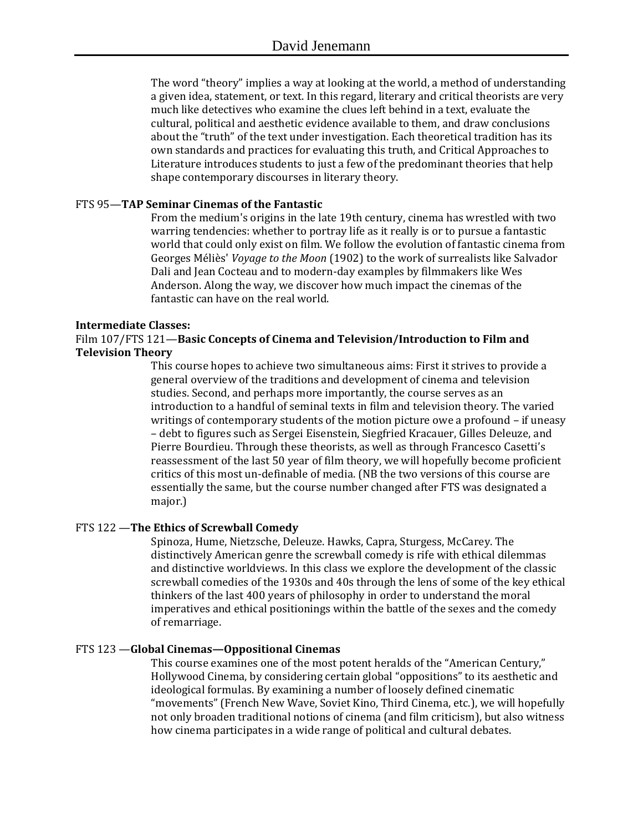The word "theory" implies a way at looking at the world, a method of understanding a given idea, statement, or text. In this regard, literary and critical theorists are very much like detectives who examine the clues left behind in a text, evaluate the cultural, political and aesthetic evidence available to them, and draw conclusions about the "truth" of the text under investigation. Each theoretical tradition has its own standards and practices for evaluating this truth, and Critical Approaches to Literature introduces students to just a few of the predominant theories that help shape contemporary discourses in literary theory.

### FTS 95—**TAP Seminar Cinemas of the Fantastic**

From the medium's origins in the late 19th century, cinema has wrestled with two warring tendencies: whether to portray life as it really is or to pursue a fantastic world that could only exist on film. We follow the evolution of fantastic cinema from Georges Méliès' *Voyage to the Moon* (1902) to the work of surrealists like Salvador Dali and Jean Cocteau and to modern-day examples by filmmakers like Wes Anderson. Along the way, we discover how much impact the cinemas of the fantastic can have on the real world.

#### **Intermediate Classes:**

Film 107/FTS 121—**Basic Concepts of Cinema and Television/Introduction to Film and Television Theory**

> This course hopes to achieve two simultaneous aims: First it strives to provide a general overview of the traditions and development of cinema and television studies. Second, and perhaps more importantly, the course serves as an introduction to a handful of seminal texts in film and television theory. The varied writings of contemporary students of the motion picture owe a profound – if uneasy – debt to figures such as Sergei Eisenstein, Siegfried Kracauer, Gilles Deleuze, and Pierre Bourdieu. Through these theorists, as well as through Francesco Casetti's reassessment of the last 50 year of film theory, we will hopefully become proficient critics of this most un-definable of media. (NB the two versions of this course are essentially the same, but the course number changed after FTS was designated a major.)

#### FTS 122 —**The Ethics of Screwball Comedy**

Spinoza, Hume, Nietzsche, Deleuze. Hawks, Capra, Sturgess, McCarey. The distinctively American genre the screwball comedy is rife with ethical dilemmas and distinctive worldviews. In this class we explore the development of the classic screwball comedies of the 1930s and 40s through the lens of some of the key ethical thinkers of the last 400 years of philosophy in order to understand the moral imperatives and ethical positionings within the battle of the sexes and the comedy of remarriage.

#### FTS 123 —**Global Cinemas—Oppositional Cinemas**

This course examines one of the most potent heralds of the "American Century," Hollywood Cinema, by considering certain global "oppositions" to its aesthetic and ideological formulas. By examining a number of loosely defined cinematic "movements" (French New Wave, Soviet Kino, Third Cinema, etc.), we will hopefully not only broaden traditional notions of cinema (and film criticism), but also witness how cinema participates in a wide range of political and cultural debates.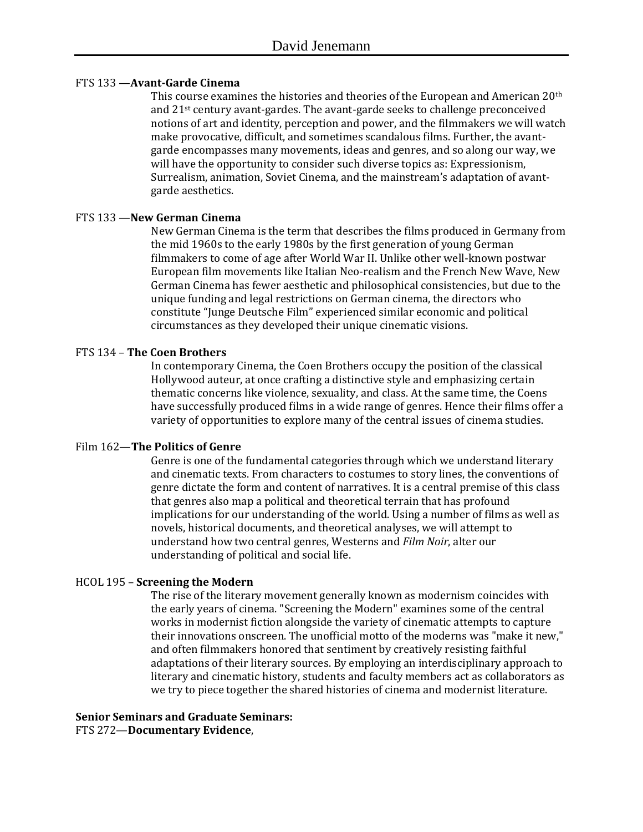### FTS 133 —**Avant-Garde Cinema**

This course examines the histories and theories of the European and American 20th and 21st century avant-gardes. The avant-garde seeks to challenge preconceived notions of art and identity, perception and power, and the filmmakers we will watch make provocative, difficult, and sometimes scandalous films. Further, the avantgarde encompasses many movements, ideas and genres, and so along our way, we will have the opportunity to consider such diverse topics as: Expressionism, Surrealism, animation, Soviet Cinema, and the mainstream's adaptation of avantgarde aesthetics.

### FTS 133 —**New German Cinema**

New German Cinema is the term that describes the films produced in Germany from the mid 1960s to the early 1980s by the first generation of young German filmmakers to come of age after World War II. Unlike other well-known postwar European film movements like Italian Neo-realism and the French New Wave, New German Cinema has fewer aesthetic and philosophical consistencies, but due to the unique funding and legal restrictions on German cinema, the directors who constitute "Junge Deutsche Film" experienced similar economic and political circumstances as they developed their unique cinematic visions.

### FTS 134 – **The Coen Brothers**

In contemporary Cinema, the Coen Brothers occupy the position of the classical Hollywood auteur, at once crafting a distinctive style and emphasizing certain thematic concerns like violence, sexuality, and class. At the same time, the Coens have successfully produced films in a wide range of genres. Hence their films offer a variety of opportunities to explore many of the central issues of cinema studies.

#### Film 162—**The Politics of Genre**

Genre is one of the fundamental categories through which we understand literary and cinematic texts. From characters to costumes to story lines, the conventions of genre dictate the form and content of narratives. It is a central premise of this class that genres also map a political and theoretical terrain that has profound implications for our understanding of the world. Using a number of films as well as novels, historical documents, and theoretical analyses, we will attempt to understand how two central genres, Westerns and *Film Noir*, alter our understanding of political and social life.

#### HCOL 195 – **Screening the Modern**

The rise of the literary movement generally known as modernism coincides with the early years of cinema. "Screening the Modern" examines some of the central works in modernist fiction alongside the variety of cinematic attempts to capture their innovations onscreen. The unofficial motto of the moderns was "make it new," and often filmmakers honored that sentiment by creatively resisting faithful adaptations of their literary sources. By employing an interdisciplinary approach to literary and cinematic history, students and faculty members act as collaborators as we try to piece together the shared histories of cinema and modernist literature.

#### **Senior Seminars and Graduate Seminars:** FTS 272—**Documentary Evidence**,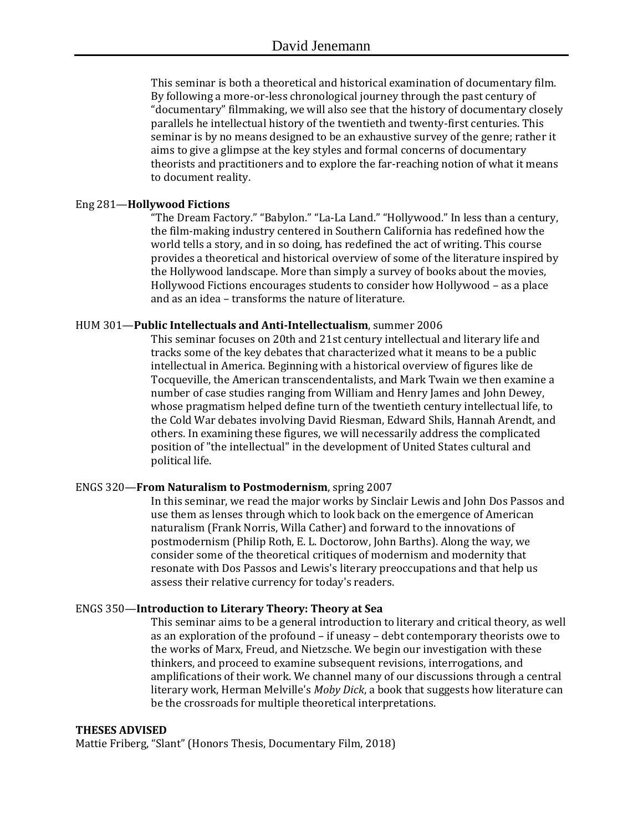This seminar is both a theoretical and historical examination of documentary film. By following a more-or-less chronological journey through the past century of "documentary" filmmaking, we will also see that the history of documentary closely parallels he intellectual history of the twentieth and twenty-first centuries. This seminar is by no means designed to be an exhaustive survey of the genre; rather it aims to give a glimpse at the key styles and formal concerns of documentary theorists and practitioners and to explore the far-reaching notion of what it means to document reality.

#### Eng 281—**Hollywood Fictions**

"The Dream Factory." "Babylon." "La-La Land." "Hollywood." In less than a century, the film-making industry centered in Southern California has redefined how the world tells a story, and in so doing, has redefined the act of writing. This course provides a theoretical and historical overview of some of the literature inspired by the Hollywood landscape. More than simply a survey of books about the movies, Hollywood Fictions encourages students to consider how Hollywood – as a place and as an idea – transforms the nature of literature.

#### HUM 301—**Public Intellectuals and Anti-Intellectualism**, summer 2006

This seminar focuses on 20th and 21st century intellectual and literary life and tracks some of the key debates that characterized what it means to be a public intellectual in America. Beginning with a historical overview of figures like de Tocqueville, the American transcendentalists, and Mark Twain we then examine a number of case studies ranging from William and Henry James and John Dewey, whose pragmatism helped define turn of the twentieth century intellectual life, to the Cold War debates involving David Riesman, Edward Shils, Hannah Arendt, and others. In examining these figures, we will necessarily address the complicated position of "the intellectual" in the development of United States cultural and political life.

#### ENGS 320—**From Naturalism to Postmodernism**, spring 2007

In this seminar, we read the major works by Sinclair Lewis and John Dos Passos and use them as lenses through which to look back on the emergence of American naturalism (Frank Norris, Willa Cather) and forward to the innovations of postmodernism (Philip Roth, E. L. Doctorow, John Barths). Along the way, we consider some of the theoretical critiques of modernism and modernity that resonate with Dos Passos and Lewis's literary preoccupations and that help us assess their relative currency for today's readers.

#### ENGS 350—**Introduction to Literary Theory: Theory at Sea**

This seminar aims to be a general introduction to literary and critical theory, as well as an exploration of the profound – if uneasy – debt contemporary theorists owe to the works of Marx, Freud, and Nietzsche. We begin our investigation with these thinkers, and proceed to examine subsequent revisions, interrogations, and amplifications of their work. We channel many of our discussions through a central literary work, Herman Melville's *Moby Dick*, a book that suggests how literature can be the crossroads for multiple theoretical interpretations.

#### **THESES ADVISED**

Mattie Friberg, "Slant" (Honors Thesis, Documentary Film, 2018)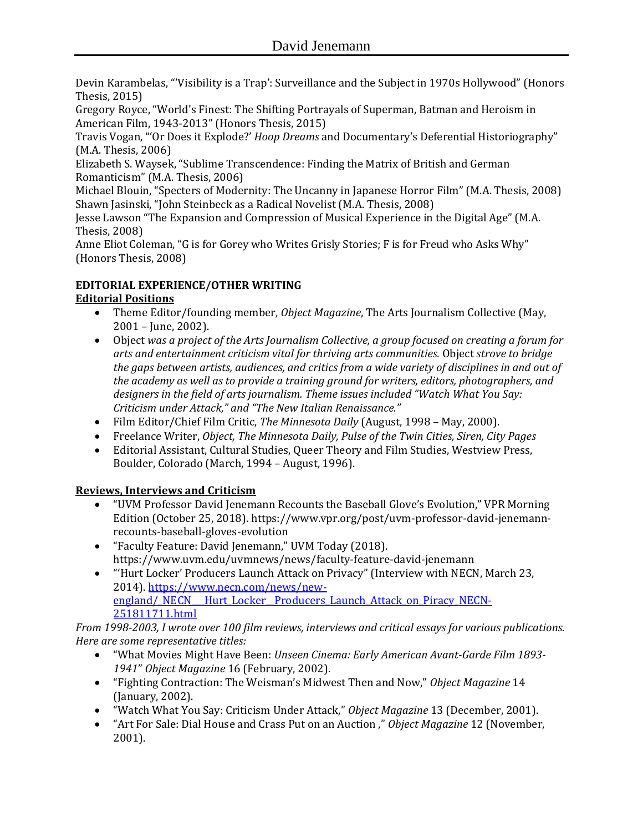Devin Karambelas, "'Visibility is a Trap': Surveillance and the Subject in 1970s Hollywood" (Honors Thesis, 2015)

Gregory Royce, "World's Finest: The Shifting Portrayals of Superman, Batman and Heroism in American Film, 1943-2013" (Honors Thesis, 2015)

Travis Vogan, "'Or Does it Explode?' *Hoop Dreams* and Documentary's Deferential Historiography" (M.A. Thesis, 2006)

Elizabeth S. Waysek, "Sublime Transcendence: Finding the Matrix of British and German Romanticism" (M.A. Thesis, 2006)

Michael Blouin, "Specters of Modernity: The Uncanny in Japanese Horror Film" (M.A. Thesis, 2008) Shawn Jasinski, "John Steinbeck as a Radical Novelist (M.A. Thesis, 2008)

Jesse Lawson "The Expansion and Compression of Musical Experience in the Digital Age" (M.A. Thesis, 2008)

Anne Eliot Coleman, "G is for Gorey who Writes Grisly Stories; F is for Freud who Asks Why" (Honors Thesis, 2008)

# **EDITORIAL EXPERIENCE/OTHER WRITING**

# **Editorial Positions**

- Theme Editor/founding member, *Object Magazine*, The Arts Journalism Collective (May, 2001 – June, 2002).
- Object *was a project of the Arts Journalism Collective, a group focused on creating a forum for arts and entertainment criticism vital for thriving arts communities.* Object *strove to bridge the gaps between artists, audiences, and critics from a wide variety of disciplines in and out of the academy as well as to provide a training ground for writers, editors, photographers, and designers in the field of arts journalism. Theme issues included "Watch What You Say: Criticism under Attack," and "The New Italian Renaissance."*
- Film Editor/Chief Film Critic, *The Minnesota Daily* (August, 1998 May, 2000).
- Freelance Writer, *Object, The Minnesota Daily, Pulse of the Twin Cities, Siren, City Pages*
- Editorial Assistant, Cultural Studies, Queer Theory and Film Studies, Westview Press, Boulder, Colorado (March, 1994 – August, 1996).

# **Reviews, Interviews and Criticism**

- "UVM Professor David Jenemann Recounts the Baseball Glove's Evolution," VPR Morning Edition (October 25, 2018). https://www.vpr.org/post/uvm-professor-david-jenemannrecounts-baseball-gloves-evolution
- "Faculty Feature: David Jenemann," UVM Today (2018). https://www.uvm.edu/uvmnews/news/faculty-feature-david-jenemann
- "'Hurt Locker' Producers Launch Attack on Privacy" (Interview with NECN, March 23, 2014). [https://www.necn.com/news/new](https://www.necn.com/news/new-england/_NECN___Hurt_Locker__Producers_Launch_Attack_on_Piracy_NECN-251811711.html)england/\_NECN\_\_Hurt\_Locker\_Producers\_Launch\_Attack\_on\_Piracy\_NECN-[251811711.html](https://www.necn.com/news/new-england/_NECN___Hurt_Locker__Producers_Launch_Attack_on_Piracy_NECN-251811711.html)

*From 1998-2003, I wrote over 100 film reviews, interviews and critical essays for various publications. Here are some representative titles:*

- "What Movies Might Have Been: *Unseen Cinema: Early American Avant-Garde Film 1893- 1941*" *Object Magazine* 16 (February, 2002).
- "Fighting Contraction: The Weisman's Midwest Then and Now," *Object Magazine* 14 (January, 2002).
- "Watch What You Say: Criticism Under Attack," *Object Magazine* 13 (December, 2001).
- "Art For Sale: Dial House and Crass Put on an Auction ," *Object Magazine* 12 (November, 2001).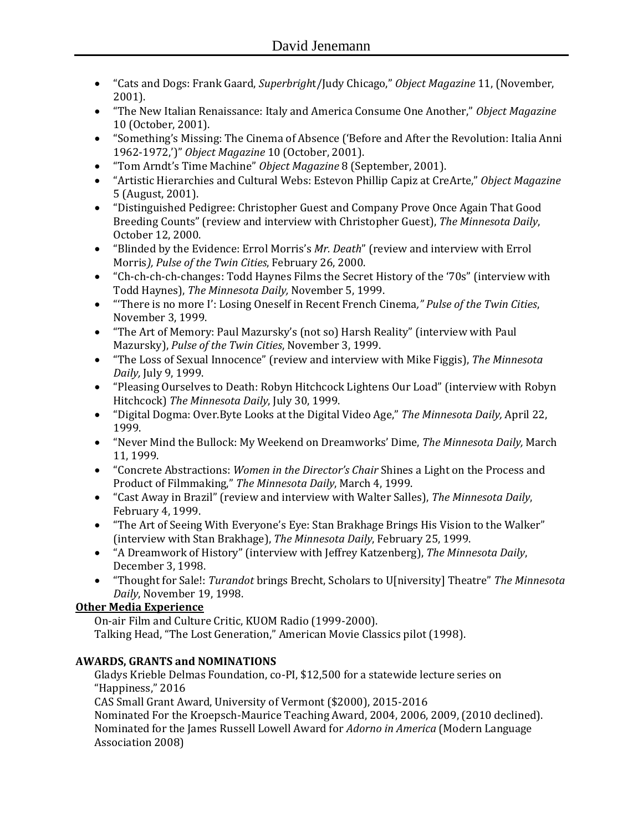- "Cats and Dogs: Frank Gaard, *Superbrigh*t/Judy Chicago," *Object Magazine* 11, (November, 2001).
- "The New Italian Renaissance: Italy and America Consume One Another," *Object Magazine* 10 (October, 2001).
- "Something's Missing: The Cinema of Absence ('Before and After the Revolution: Italia Anni 1962-1972,')" *Object Magazine* 10 (October, 2001).
- "Tom Arndt's Time Machine" *Object Magazine* 8 (September, 2001).
- "Artistic Hierarchies and Cultural Webs: Estevon Phillip Capiz at CreArte," *Object Magazine* 5 (August, 2001).
- "Distinguished Pedigree: Christopher Guest and Company Prove Once Again That Good Breeding Counts" (review and interview with Christopher Guest), *The Minnesota Daily*, October 12, 2000.
- "Blinded by the Evidence: Errol Morris's *Mr. Death*" (review and interview with Errol Morris*), Pulse of the Twin Cities*, February 26, 2000.
- "Ch-ch-ch-ch-changes: Todd Haynes Films the Secret History of the '70s" (interview with Todd Haynes), *The Minnesota Daily,* November 5, 1999.
- "'There is no more I': Losing Oneself in Recent French Cinema*," Pulse of the Twin Cities*, November 3, 1999.
- "The Art of Memory: Paul Mazursky's (not so) Harsh Reality" (interview with Paul Mazursky), *Pulse of the Twin Cities*, November 3, 1999.
- "The Loss of Sexual Innocence" (review and interview with Mike Figgis), *The Minnesota Daily,* July 9, 1999.
- "Pleasing Ourselves to Death: Robyn Hitchcock Lightens Our Load" (interview with Robyn Hitchcock) *The Minnesota Daily*, July 30, 1999.
- "Digital Dogma: Over.Byte Looks at the Digital Video Age," *The Minnesota Daily,* April 22, 1999.
- "Never Mind the Bullock: My Weekend on Dreamworks' Dime, *The Minnesota Daily,* March 11, 1999.
- "Concrete Abstractions: *Women in the Director's Chair* Shines a Light on the Process and Product of Filmmaking," *The Minnesota Daily*, March 4, 1999.
- "Cast Away in Brazil" (review and interview with Walter Salles), *The Minnesota Daily*, February 4, 1999.
- "The Art of Seeing With Everyone's Eye: Stan Brakhage Brings His Vision to the Walker" (interview with Stan Brakhage), *The Minnesota Daily*, February 25, 1999.
- "A Dreamwork of History" (interview with Jeffrey Katzenberg), *The Minnesota Daily*, December 3, 1998.
- "Thought for Sale!: *Turandot* brings Brecht, Scholars to U[niversity] Theatre" *The Minnesota Daily*, November 19, 1998.

# **Other Media Experience**

On-air Film and Culture Critic, KUOM Radio (1999-2000). Talking Head, "The Lost Generation," American Movie Classics pilot (1998).

# **AWARDS, GRANTS and NOMINATIONS**

Gladys Krieble Delmas Foundation, co-PI, \$12,500 for a statewide lecture series on "Happiness," 2016

CAS Small Grant Award, University of Vermont (\$2000), 2015-2016

Nominated For the Kroepsch-Maurice Teaching Award, 2004, 2006, 2009, (2010 declined). Nominated for the James Russell Lowell Award for *Adorno in America* (Modern Language Association 2008)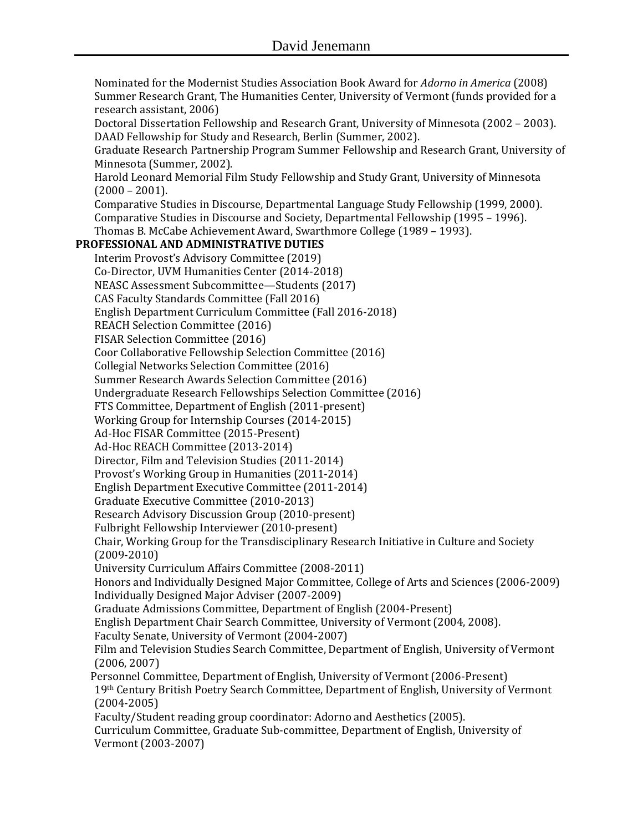Nominated for the Modernist Studies Association Book Award for *Adorno in America* (2008) Summer Research Grant, The Humanities Center, University of Vermont (funds provided for a research assistant, 2006) Doctoral Dissertation Fellowship and Research Grant, University of Minnesota (2002 – 2003). DAAD Fellowship for Study and Research, Berlin (Summer, 2002). Graduate Research Partnership Program Summer Fellowship and Research Grant, University of Minnesota (Summer, 2002). Harold Leonard Memorial Film Study Fellowship and Study Grant, University of Minnesota  $(2000 - 2001)$ . Comparative Studies in Discourse, Departmental Language Study Fellowship (1999, 2000). Comparative Studies in Discourse and Society, Departmental Fellowship (1995 – 1996). Thomas B. McCabe Achievement Award, Swarthmore College (1989 – 1993). **PROFESSIONAL AND ADMINISTRATIVE DUTIES** Interim Provost's Advisory Committee (2019) Co-Director, UVM Humanities Center (2014-2018) NEASC Assessment Subcommittee—Students (2017) CAS Faculty Standards Committee (Fall 2016) English Department Curriculum Committee (Fall 2016-2018) REACH Selection Committee (2016) FISAR Selection Committee (2016) Coor Collaborative Fellowship Selection Committee (2016) Collegial Networks Selection Committee (2016) Summer Research Awards Selection Committee (2016) Undergraduate Research Fellowships Selection Committee (2016) FTS Committee, Department of English (2011-present) Working Group for Internship Courses (2014-2015) Ad-Hoc FISAR Committee (2015-Present) Ad-Hoc REACH Committee (2013-2014) Director, Film and Television Studies (2011-2014) Provost's Working Group in Humanities (2011-2014) English Department Executive Committee (2011-2014) Graduate Executive Committee (2010-2013) Research Advisory Discussion Group (2010-present) Fulbright Fellowship Interviewer (2010-present) Chair, Working Group for the Transdisciplinary Research Initiative in Culture and Society (2009-2010) University Curriculum Affairs Committee (2008-2011) Honors and Individually Designed Major Committee, College of Arts and Sciences (2006-2009) Individually Designed Major Adviser (2007-2009) Graduate Admissions Committee, Department of English (2004-Present) English Department Chair Search Committee, University of Vermont (2004, 2008). Faculty Senate, University of Vermont (2004-2007) Film and Television Studies Search Committee, Department of English, University of Vermont (2006, 2007) Personnel Committee, Department of English, University of Vermont (2006-Present) 19th Century British Poetry Search Committee, Department of English, University of Vermont (2004-2005) Faculty/Student reading group coordinator: Adorno and Aesthetics (2005). Curriculum Committee, Graduate Sub-committee, Department of English, University of Vermont (2003-2007)